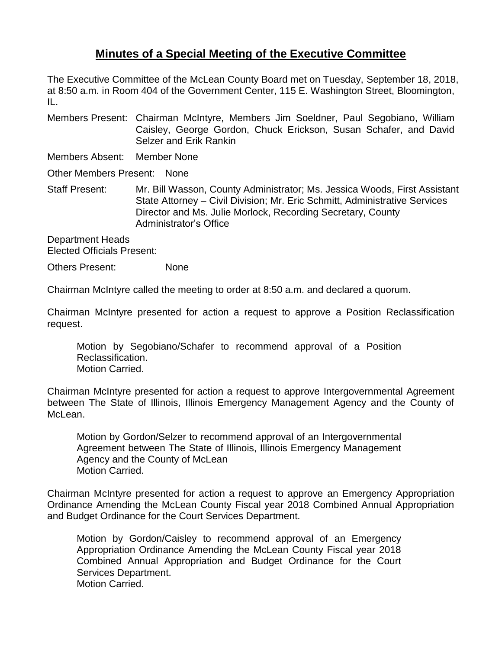## **Minutes of a Special Meeting of the Executive Committee**

The Executive Committee of the McLean County Board met on Tuesday, September 18, 2018, at 8:50 a.m. in Room 404 of the Government Center, 115 E. Washington Street, Bloomington,  $\Pi$ .

Members Present: Chairman McIntyre, Members Jim Soeldner, Paul Segobiano, William Caisley, George Gordon, Chuck Erickson, Susan Schafer, and David Selzer and Erik Rankin

Members Absent: Member None

Other Members Present: None

Staff Present: Mr. Bill Wasson, County Administrator; Ms. Jessica Woods, First Assistant State Attorney – Civil Division; Mr. Eric Schmitt, Administrative Services Director and Ms. Julie Morlock, Recording Secretary, County Administrator's Office

Department Heads Elected Officials Present:

Others Present: None

Chairman McIntyre called the meeting to order at 8:50 a.m. and declared a quorum.

Chairman McIntyre presented for action a request to approve a Position Reclassification request.

Motion by Segobiano/Schafer to recommend approval of a Position Reclassification. Motion Carried.

Chairman McIntyre presented for action a request to approve Intergovernmental Agreement between The State of Illinois, Illinois Emergency Management Agency and the County of McLean.

Motion by Gordon/Selzer to recommend approval of an Intergovernmental Agreement between The State of Illinois, Illinois Emergency Management Agency and the County of McLean Motion Carried.

Chairman McIntyre presented for action a request to approve an Emergency Appropriation Ordinance Amending the McLean County Fiscal year 2018 Combined Annual Appropriation and Budget Ordinance for the Court Services Department.

Motion by Gordon/Caisley to recommend approval of an Emergency Appropriation Ordinance Amending the McLean County Fiscal year 2018 Combined Annual Appropriation and Budget Ordinance for the Court Services Department. Motion Carried.